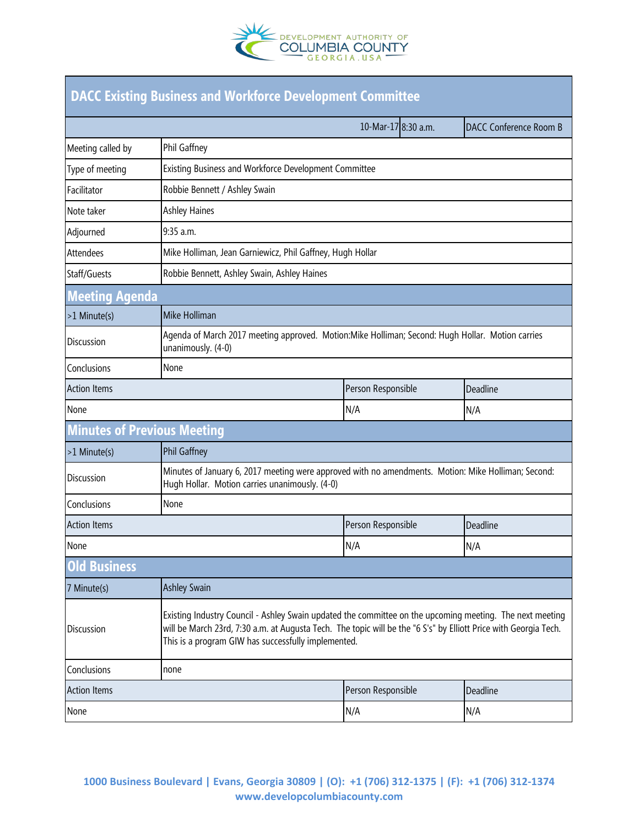

| <b>DACC Existing Business and Workforce Development Committee</b> |                                                                                                                                                                                                                                                                                     |                     |                        |  |
|-------------------------------------------------------------------|-------------------------------------------------------------------------------------------------------------------------------------------------------------------------------------------------------------------------------------------------------------------------------------|---------------------|------------------------|--|
|                                                                   |                                                                                                                                                                                                                                                                                     | 10-Mar-17 8:30 a.m. | DACC Conference Room B |  |
| Meeting called by                                                 | Phil Gaffney                                                                                                                                                                                                                                                                        |                     |                        |  |
| Type of meeting                                                   | Existing Business and Workforce Development Committee                                                                                                                                                                                                                               |                     |                        |  |
| Facilitator                                                       | Robbie Bennett / Ashley Swain                                                                                                                                                                                                                                                       |                     |                        |  |
| Note taker                                                        | <b>Ashley Haines</b>                                                                                                                                                                                                                                                                |                     |                        |  |
| Adjourned                                                         | 9:35 a.m.                                                                                                                                                                                                                                                                           |                     |                        |  |
| Attendees                                                         | Mike Holliman, Jean Garniewicz, Phil Gaffney, Hugh Hollar                                                                                                                                                                                                                           |                     |                        |  |
| Staff/Guests                                                      | Robbie Bennett, Ashley Swain, Ashley Haines                                                                                                                                                                                                                                         |                     |                        |  |
| <b>Meeting Agenda</b>                                             |                                                                                                                                                                                                                                                                                     |                     |                        |  |
| >1 Minute(s)                                                      | Mike Holliman                                                                                                                                                                                                                                                                       |                     |                        |  |
| <b>Discussion</b>                                                 | Agenda of March 2017 meeting approved. Motion: Mike Holliman; Second: Hugh Hollar. Motion carries<br>unanimously. (4-0)                                                                                                                                                             |                     |                        |  |
| Conclusions                                                       | None                                                                                                                                                                                                                                                                                |                     |                        |  |
| <b>Action Items</b>                                               |                                                                                                                                                                                                                                                                                     | Person Responsible  | Deadline               |  |
| None                                                              |                                                                                                                                                                                                                                                                                     | N/A                 | N/A                    |  |
| <b>Minutes of Previous Meeting</b>                                |                                                                                                                                                                                                                                                                                     |                     |                        |  |
| >1 Minute(s)                                                      | Phil Gaffney                                                                                                                                                                                                                                                                        |                     |                        |  |
| <b>Discussion</b>                                                 | Minutes of January 6, 2017 meeting were approved with no amendments. Motion: Mike Holliman; Second:<br>Hugh Hollar. Motion carries unanimously. (4-0)                                                                                                                               |                     |                        |  |
| Conclusions                                                       | None                                                                                                                                                                                                                                                                                |                     |                        |  |
| <b>Action Items</b>                                               |                                                                                                                                                                                                                                                                                     | Person Responsible  | Deadline               |  |
| None                                                              |                                                                                                                                                                                                                                                                                     | N/A                 | N/A                    |  |
| <b>Old Business</b>                                               |                                                                                                                                                                                                                                                                                     |                     |                        |  |
| 7 Minute(s)                                                       | <b>Ashley Swain</b>                                                                                                                                                                                                                                                                 |                     |                        |  |
| <b>Discussion</b>                                                 | Existing Industry Council - Ashley Swain updated the committee on the upcoming meeting. The next meeting<br>will be March 23rd, 7:30 a.m. at Augusta Tech. The topic will be the "6 S's" by Elliott Price with Georgia Tech.<br>This is a program GIW has successfully implemented. |                     |                        |  |
| Conclusions                                                       | none                                                                                                                                                                                                                                                                                |                     |                        |  |
| <b>Action Items</b>                                               |                                                                                                                                                                                                                                                                                     | Person Responsible  | Deadline               |  |
| None                                                              |                                                                                                                                                                                                                                                                                     | N/A                 | N/A                    |  |